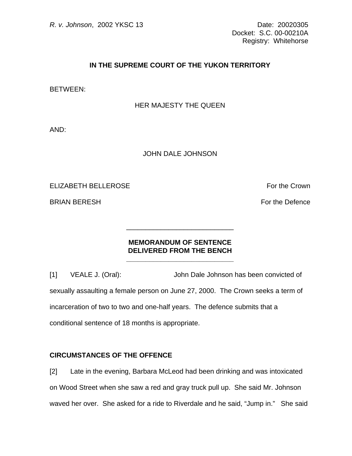## **IN THE SUPREME COURT OF THE YUKON TERRITORY**

BETWEEN:

#### HER MAJESTY THE QUEEN

AND:

#### JOHN DALE JOHNSON

## ELIZABETH BELLEROSE For the Crown

BRIAN BERESH FOR THE SERVICE SERVICE SERVICE SERVICE SERVICE SERVICE SERVICE SERVICE SERVICE SERVICE SERVICE S

## **MEMORANDUM OF SENTENCE DELIVERED FROM THE BENCH**

**\_\_\_\_\_\_\_\_\_\_\_\_\_\_\_\_\_\_\_\_\_\_\_\_\_\_\_\_**

\_\_\_\_\_\_\_\_\_\_\_\_\_\_\_\_\_\_\_\_\_\_\_\_\_\_\_\_

[1] VEALE J. (Oral): John Dale Johnson has been convicted of sexually assaulting a female person on June 27, 2000. The Crown seeks a term of incarceration of two to two and one-half years. The defence submits that a conditional sentence of 18 months is appropriate.

### **CIRCUMSTANCES OF THE OFFENCE**

[2] Late in the evening, Barbara McLeod had been drinking and was intoxicated on Wood Street when she saw a red and gray truck pull up. She said Mr. Johnson waved her over. She asked for a ride to Riverdale and he said, "Jump in." She said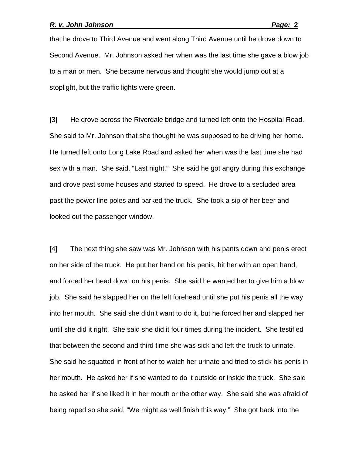that he drove to Third Avenue and went along Third Avenue until he drove down to Second Avenue. Mr. Johnson asked her when was the last time she gave a blow job to a man or men. She became nervous and thought she would jump out at a stoplight, but the traffic lights were green.

[3] He drove across the Riverdale bridge and turned left onto the Hospital Road. She said to Mr. Johnson that she thought he was supposed to be driving her home. He turned left onto Long Lake Road and asked her when was the last time she had sex with a man. She said, "Last night." She said he got angry during this exchange and drove past some houses and started to speed. He drove to a secluded area past the power line poles and parked the truck. She took a sip of her beer and looked out the passenger window.

[4] The next thing she saw was Mr. Johnson with his pants down and penis erect on her side of the truck. He put her hand on his penis, hit her with an open hand, and forced her head down on his penis. She said he wanted her to give him a blow job. She said he slapped her on the left forehead until she put his penis all the way into her mouth. She said she didn't want to do it, but he forced her and slapped her until she did it right. She said she did it four times during the incident. She testified that between the second and third time she was sick and left the truck to urinate. She said he squatted in front of her to watch her urinate and tried to stick his penis in her mouth. He asked her if she wanted to do it outside or inside the truck. She said he asked her if she liked it in her mouth or the other way. She said she was afraid of being raped so she said, "We might as well finish this way." She got back into the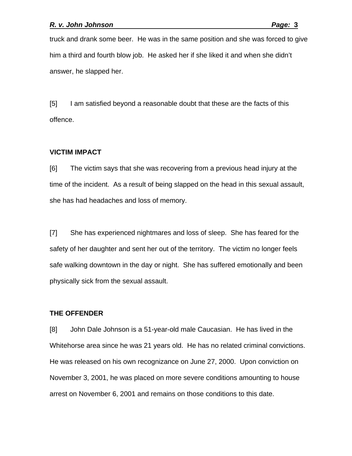truck and drank some beer. He was in the same position and she was forced to give him a third and fourth blow job. He asked her if she liked it and when she didn't answer, he slapped her.

[5] I am satisfied beyond a reasonable doubt that these are the facts of this offence.

### **VICTIM IMPACT**

[6] The victim says that she was recovering from a previous head injury at the time of the incident. As a result of being slapped on the head in this sexual assault, she has had headaches and loss of memory.

[7] She has experienced nightmares and loss of sleep. She has feared for the safety of her daughter and sent her out of the territory. The victim no longer feels safe walking downtown in the day or night. She has suffered emotionally and been physically sick from the sexual assault.

#### **THE OFFENDER**

[8] John Dale Johnson is a 51-year-old male Caucasian. He has lived in the Whitehorse area since he was 21 years old. He has no related criminal convictions. He was released on his own recognizance on June 27, 2000. Upon conviction on November 3, 2001, he was placed on more severe conditions amounting to house arrest on November 6, 2001 and remains on those conditions to this date.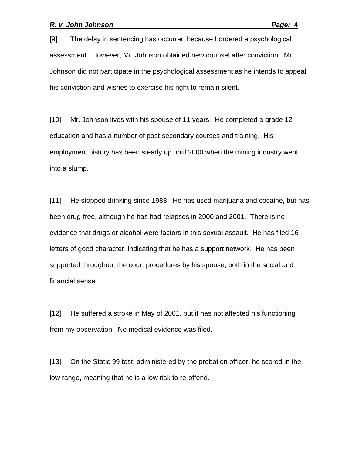[9] The delay in sentencing has occurred because I ordered a psychological assessment. However, Mr. Johnson obtained new counsel after conviction. Mr. Johnson did not participate in the psychological assessment as he intends to appeal his conviction and wishes to exercise his right to remain silent.

[10] Mr. Johnson lives with his spouse of 11 years. He completed a grade 12 education and has a number of post-secondary courses and training. His employment history has been steady up until 2000 when the mining industry went into a slump.

[11] He stopped drinking since 1983. He has used marijuana and cocaine, but has been drug-free, although he has had relapses in 2000 and 2001. There is no evidence that drugs or alcohol were factors in this sexual assault. He has filed 16 letters of good character, indicating that he has a support network. He has been supported throughout the court procedures by his spouse, both in the social and financial sense.

[12] He suffered a stroke in May of 2001, but it has not affected his functioning from my observation. No medical evidence was filed.

[13] On the Static 99 test, administered by the probation officer, he scored in the low range, meaning that he is a low risk to re-offend.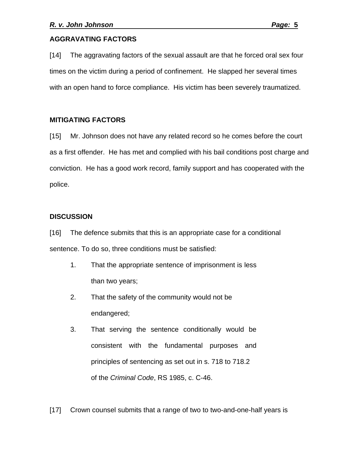# **AGGRAVATING FACTORS**

[14] The aggravating factors of the sexual assault are that he forced oral sex four times on the victim during a period of confinement. He slapped her several times with an open hand to force compliance. His victim has been severely traumatized.

# **MITIGATING FACTORS**

[15] Mr. Johnson does not have any related record so he comes before the court as a first offender. He has met and complied with his bail conditions post charge and conviction. He has a good work record, family support and has cooperated with the police.

# **DISCUSSION**

[16] The defence submits that this is an appropriate case for a conditional sentence. To do so, three conditions must be satisfied:

- 1. That the appropriate sentence of imprisonment is less than two years;
- 2. That the safety of the community would not be endangered;
- 3. That serving the sentence conditionally would be consistent with the fundamental purposes and principles of sentencing as set out in s. 718 to 718.2 of the *Criminal Code*, RS 1985, c. C-46.
- [17] Crown counsel submits that a range of two to two-and-one-half years is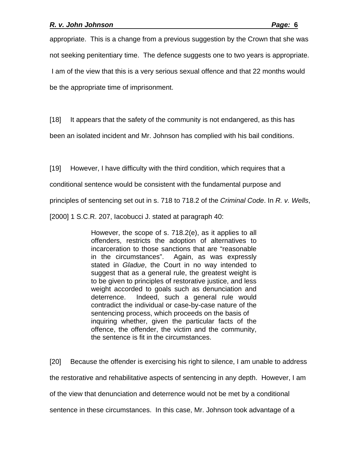appropriate. This is a change from a previous suggestion by the Crown that she was not seeking penitentiary time. The defence suggests one to two years is appropriate. I am of the view that this is a very serious sexual offence and that 22 months would be the appropriate time of imprisonment.

[18] It appears that the safety of the community is not endangered, as this has

been an isolated incident and Mr. Johnson has complied with his bail conditions.

[19] However, I have difficulty with the third condition, which requires that a

conditional sentence would be consistent with the fundamental purpose and

principles of sentencing set out in s. 718 to 718.2 of the *Criminal Code*. In *R. v. Wells*,

[2000] 1 S.C.R. 207, Iacobucci J. stated at paragraph 40:

However, the scope of s. 718.2(e), as it applies to all offenders, restricts the adoption of alternatives to incarceration to those sanctions that are "reasonable in the circumstances". Again, as was expressly stated in *Gladue*, the Court in no way intended to suggest that as a general rule, the greatest weight is to be given to principles of restorative justice, and less weight accorded to goals such as denunciation and deterrence. Indeed, such a general rule would contradict the individual or case-by-case nature of the sentencing process, which proceeds on the basis of inquiring whether, given the particular facts of the offence, the offender, the victim and the community, the sentence is fit in the circumstances.

[20] Because the offender is exercising his right to silence, I am unable to address the restorative and rehabilitative aspects of sentencing in any depth. However, I am of the view that denunciation and deterrence would not be met by a conditional sentence in these circumstances. In this case, Mr. Johnson took advantage of a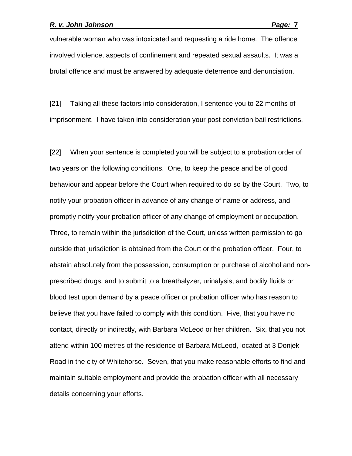vulnerable woman who was intoxicated and requesting a ride home. The offence involved violence, aspects of confinement and repeated sexual assaults. It was a brutal offence and must be answered by adequate deterrence and denunciation.

[21] Taking all these factors into consideration, I sentence you to 22 months of imprisonment. I have taken into consideration your post conviction bail restrictions.

[22] When your sentence is completed you will be subject to a probation order of two years on the following conditions. One, to keep the peace and be of good behaviour and appear before the Court when required to do so by the Court. Two, to notify your probation officer in advance of any change of name or address, and promptly notify your probation officer of any change of employment or occupation. Three, to remain within the jurisdiction of the Court, unless written permission to go outside that jurisdiction is obtained from the Court or the probation officer. Four, to abstain absolutely from the possession, consumption or purchase of alcohol and nonprescribed drugs, and to submit to a breathalyzer, urinalysis, and bodily fluids or blood test upon demand by a peace officer or probation officer who has reason to believe that you have failed to comply with this condition. Five, that you have no contact, directly or indirectly, with Barbara McLeod or her children. Six, that you not attend within 100 metres of the residence of Barbara McLeod, located at 3 Donjek Road in the city of Whitehorse. Seven, that you make reasonable efforts to find and maintain suitable employment and provide the probation officer with all necessary details concerning your efforts.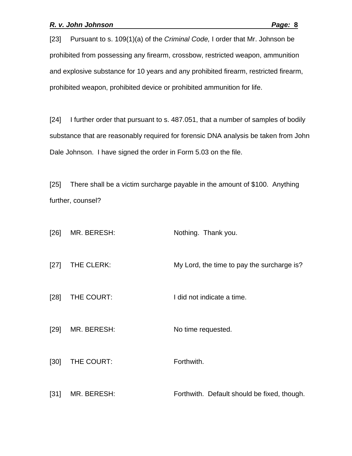[23] Pursuant to s. 109(1)(a) of the *Criminal Code,* I order that Mr. Johnson be prohibited from possessing any firearm, crossbow, restricted weapon, ammunition and explosive substance for 10 years and any prohibited firearm, restricted firearm, prohibited weapon, prohibited device or prohibited ammunition for life.

[24] I further order that pursuant to s. 487.051, that a number of samples of bodily substance that are reasonably required for forensic DNA analysis be taken from John Dale Johnson. I have signed the order in Form 5.03 on the file.

[25] There shall be a victim surcharge payable in the amount of \$100. Anything further, counsel?

| [26]   | MR. BERESH: | Nothing. Thank you.                         |
|--------|-------------|---------------------------------------------|
| $[27]$ | THE CLERK:  | My Lord, the time to pay the surcharge is?  |
| $[28]$ | THE COURT:  | I did not indicate a time.                  |
| $[29]$ | MR. BERESH: | No time requested.                          |
| $[30]$ | THE COURT:  | Forthwith.                                  |
| $[31]$ | MR. BERESH: | Forthwith. Default should be fixed, though. |